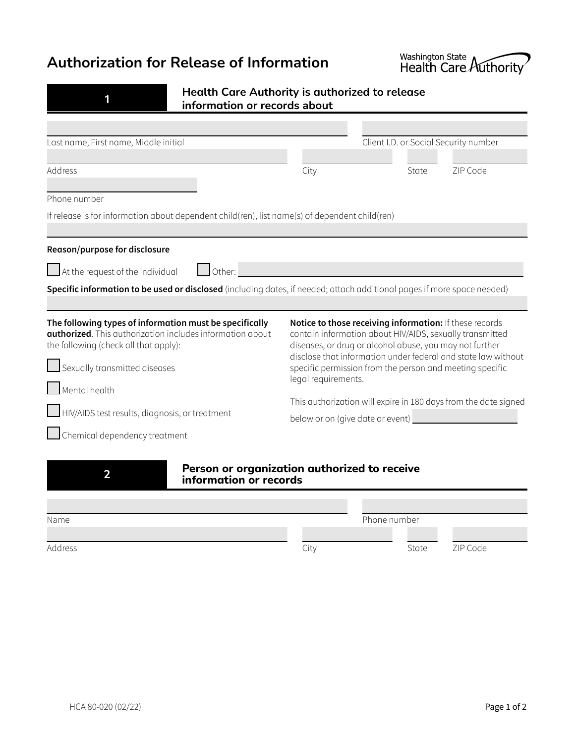## **Authorization for Release of Information**



| ٠                      |  |  |
|------------------------|--|--|
| <b>Service Service</b> |  |  |
|                        |  |  |

**Health Care Authority is authorized to release information or records about**

| Last name, First name, Middle initial                                                                                                                                 |                                                                                                                                                                                                                                                                                                             | Client I.D. or Social Security number |  |
|-----------------------------------------------------------------------------------------------------------------------------------------------------------------------|-------------------------------------------------------------------------------------------------------------------------------------------------------------------------------------------------------------------------------------------------------------------------------------------------------------|---------------------------------------|--|
|                                                                                                                                                                       |                                                                                                                                                                                                                                                                                                             |                                       |  |
| Address                                                                                                                                                               | City                                                                                                                                                                                                                                                                                                        | State<br>ZIP Code                     |  |
| Phone number                                                                                                                                                          |                                                                                                                                                                                                                                                                                                             |                                       |  |
| If release is for information about dependent child (ren), list name(s) of dependent child (ren)                                                                      |                                                                                                                                                                                                                                                                                                             |                                       |  |
|                                                                                                                                                                       |                                                                                                                                                                                                                                                                                                             |                                       |  |
| Reason/purpose for disclosure                                                                                                                                         |                                                                                                                                                                                                                                                                                                             |                                       |  |
| $\Box$ Other:<br>$\blacksquare$ At the request of the individual                                                                                                      |                                                                                                                                                                                                                                                                                                             |                                       |  |
| Specific information to be used or disclosed (including dates, if needed; attach additional pages if more space needed)                                               |                                                                                                                                                                                                                                                                                                             |                                       |  |
|                                                                                                                                                                       |                                                                                                                                                                                                                                                                                                             |                                       |  |
| The following types of information must be specifically<br><b>authorized</b> . This authorization includes information about<br>the following (check all that apply): | Notice to those receiving information: If these records<br>contain information about HIV/AIDS, sexually transmitted<br>diseases, or drug or alcohol abuse, you may not further<br>disclose that information under federal and state law without<br>specific permission from the person and meeting specific |                                       |  |
| Sexually transmitted diseases                                                                                                                                         |                                                                                                                                                                                                                                                                                                             |                                       |  |
| Mental health                                                                                                                                                         | legal requirements.                                                                                                                                                                                                                                                                                         |                                       |  |
|                                                                                                                                                                       | This authorization will expire in 180 days from the date signed                                                                                                                                                                                                                                             |                                       |  |
| HIV/AIDS test results, diagnosis, or treatment                                                                                                                        | below or on (give date or event) _____                                                                                                                                                                                                                                                                      |                                       |  |
| Chemical dependency treatment                                                                                                                                         |                                                                                                                                                                                                                                                                                                             |                                       |  |
|                                                                                                                                                                       |                                                                                                                                                                                                                                                                                                             |                                       |  |



# **2 Person** or organization authorized to receive information or records

| Name    |      | Phone number |          |
|---------|------|--------------|----------|
|         |      |              |          |
| Address | City | State        | ZIP Code |